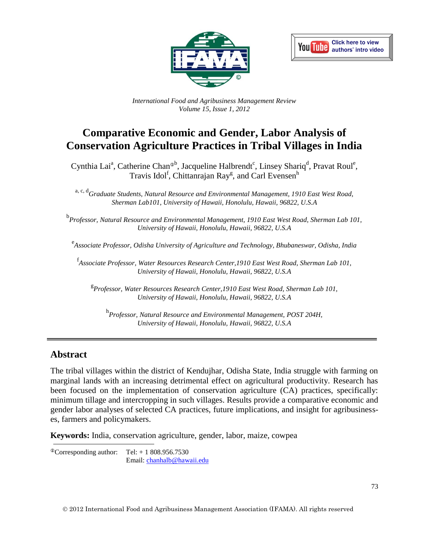



*International Food and Agribusiness Management Review Volume 15, Issue 1, 2012*

# **Comparative Economic and Gender, Labor Analysis of Conservation Agriculture Practices in Tribal Villages in India**

Cynthia Lai<sup>a</sup>, Catherine Chan<sup>®b</sup>, Jacqueline Halbrendt<sup>c</sup>, Linsey Shariq<sup>d</sup>, Pravat Roul<sup>e</sup>, Travis Idol<sup>f</sup>, Chittanrajan Ray<sup>g</sup>, and Carl Evensen<sup>h</sup>

a, c, d *Graduate Students, Natural Resource and Environmental Management, 1910 East West Road, Sherman Lab101, University of Hawaii, Honolulu, Hawaii, 96822, U.S.A*

b *Professor, Natural Resource and Environmental Management, 1910 East West Road, Sherman Lab 101, University of Hawaii, Honolulu, Hawaii, 96822, U.S.A*

e *Associate Professor, Odisha University of Agriculture and Technology, Bhubaneswar, Odisha, India*

f *Associate Professor, Water Resources Research Center,1910 East West Road, Sherman Lab 101, University of Hawaii, Honolulu, Hawaii, 96822, U.S.A*

g *Professor, Water Resources Research Center,1910 East West Road, Sherman Lab 101, University of Hawaii, Honolulu, Hawaii, 96822, U.S.A*

h *Professor, Natural Resource and Environmental Management, POST 204H, University of Hawaii, Honolulu, Hawaii, 96822, U.S.A*

#### **Abstract**

The tribal villages within the district of Kendujhar, Odisha State, India struggle with farming on marginal lands with an increasing detrimental effect on agricultural productivity. Research has been focused on the implementation of conservation agriculture (CA) practices, specifically: minimum tillage and intercropping in such villages. Results provide a comparative economic and gender labor analyses of selected CA practices, future implications, and insight for agribusinesses, farmers and policymakers.

**Keywords:** India, conservation agriculture, gender, labor, maize, cowpea

 $^{\circ}$ Corresponding author: Tel: + 1 808.956.7530 Email: [chanhalb@hawaii.edu](mailto:chanhalb@hawaii.edu)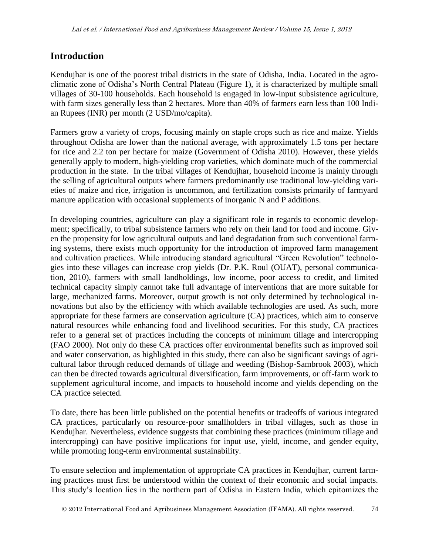## **Introduction**

Kendujhar is one of the poorest tribal districts in the state of Odisha, India. Located in the agroclimatic zone of Odisha's North Central Plateau (Figure 1), it is characterized by multiple small villages of 30-100 households. Each household is engaged in low-input subsistence agriculture, with farm sizes generally less than 2 hectares. More than 40% of farmers earn less than 100 Indian Rupees (INR) per month (2 USD/mo/capita).

Farmers grow a variety of crops, focusing mainly on staple crops such as rice and maize. Yields throughout Odisha are lower than the national average, with approximately 1.5 tons per hectare for rice and 2.2 ton per hectare for maize (Government of Odisha 2010). However, these yields generally apply to modern, high-yielding crop varieties, which dominate much of the commercial production in the state. In the tribal villages of Kendujhar, household income is mainly through the selling of agricultural outputs where farmers predominantly use traditional low-yielding varieties of maize and rice, irrigation is uncommon, and fertilization consists primarily of farmyard manure application with occasional supplements of inorganic N and P additions.

In developing countries, agriculture can play a significant role in regards to economic development; specifically, to tribal subsistence farmers who rely on their land for food and income. Given the propensity for low agricultural outputs and land degradation from such conventional farming systems, there exists much opportunity for the introduction of improved farm management and cultivation practices. While introducing standard agricultural "Green Revolution" technologies into these villages can increase crop yields (Dr. P.K. Roul (OUAT), personal communication, 2010), farmers with small landholdings, low income, poor access to credit, and limited technical capacity simply cannot take full advantage of interventions that are more suitable for large, mechanized farms. Moreover, output growth is not only determined by technological innovations but also by the efficiency with which available technologies are used. As such, more appropriate for these farmers are conservation agriculture (CA) practices, which aim to conserve natural resources while enhancing food and livelihood securities. For this study, CA practices refer to a general set of practices including the concepts of minimum tillage and intercropping (FAO 2000). Not only do these CA practices offer environmental benefits such as improved soil and water conservation, as highlighted in this study, there can also be significant savings of agricultural labor through reduced demands of tillage and weeding (Bishop-Sambrook 2003), which can then be directed towards agricultural diversification, farm improvements, or off-farm work to supplement agricultural income, and impacts to household income and yields depending on the CA practice selected.

To date, there has been little published on the potential benefits or tradeoffs of various integrated CA practices, particularly on resource-poor smallholders in tribal villages, such as those in Kendujhar. Nevertheless, evidence suggests that combining these practices (minimum tillage and intercropping) can have positive implications for input use, yield, income, and gender equity, while promoting long-term environmental sustainability.

To ensure selection and implementation of appropriate CA practices in Kendujhar, current farming practices must first be understood within the context of their economic and social impacts. This study's location lies in the northern part of Odisha in Eastern India, which epitomizes the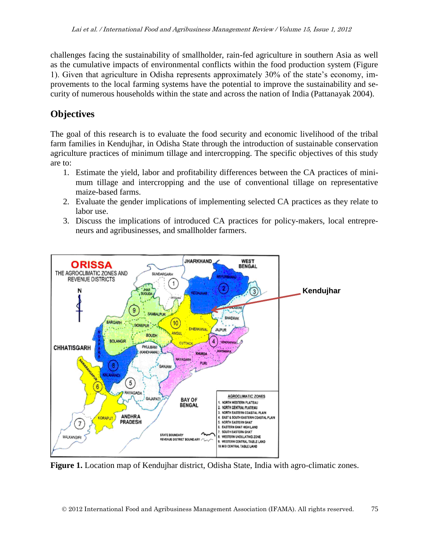challenges facing the sustainability of smallholder, rain-fed agriculture in southern Asia as well as the cumulative impacts of environmental conflicts within the food production system (Figure 1). Given that agriculture in Odisha represents approximately 30% of the state's economy, improvements to the local farming systems have the potential to improve the sustainability and security of numerous households within the state and across the nation of India (Pattanayak 2004).

# **Objectives**

The goal of this research is to evaluate the food security and economic livelihood of the tribal farm families in Kendujhar, in Odisha State through the introduction of sustainable conservation agriculture practices of minimum tillage and intercropping. The specific objectives of this study are to:

- 1. Estimate the yield, labor and profitability differences between the CA practices of minimum tillage and intercropping and the use of conventional tillage on representative maize-based farms.
- 2. Evaluate the gender implications of implementing selected CA practices as they relate to labor use.
- 3. Discuss the implications of introduced CA practices for policy-makers, local entrepreneurs and agribusinesses, and smallholder farmers.



Figure 1. Location map of Kendujhar district, Odisha State, India with agro-climatic zones.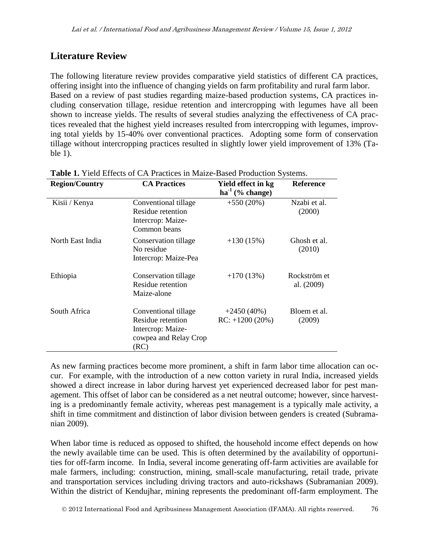## **Literature Review**

The following literature review provides comparative yield statistics of different CA practices, offering insight into the influence of changing yields on farm profitability and rural farm labor. Based on a review of past studies regarding maize-based production systems, CA practices including conservation tillage, residue retention and intercropping with legumes have all been shown to increase yields. The results of several studies analyzing the effectiveness of CA practices revealed that the highest yield increases resulted from intercropping with legumes, improving total yields by 15-40% over conventional practices. Adopting some form of conservation tillage without intercropping practices resulted in slightly lower yield improvement of 13% (Table 1).

| <b>Region/Country</b> | <b>CA Practices</b>                                                                             | Yield effect in kg<br>$ha^{-1}$ (% change) | <b>Reference</b>           |
|-----------------------|-------------------------------------------------------------------------------------------------|--------------------------------------------|----------------------------|
| Kisii / Kenya         | Conventional tillage<br>Residue retention<br>Intercrop: Maize-<br>Common beans                  | $+550(20\%)$                               | Nzabi et al.<br>(2000)     |
| North East India      | Conservation tillage<br>No residue<br>Intercrop: Maize-Pea                                      | $+130(15%)$                                | Ghosh et al.<br>(2010)     |
| Ethiopia              | Conservation tillage<br>Residue retention<br>Maize-alone                                        | $+170(13%)$                                | Rockström et<br>al. (2009) |
| South Africa          | Conventional tillage<br>Residue retention<br>Intercrop: Maize-<br>cowpea and Relay Crop<br>(RC) | $+2450(40\%)$<br>$RC: +1200(20%)$          | Bloem et al.<br>(2009)     |

**Table 1.** Yield Effects of CA Practices in Maize-Based Production Systems.

As new farming practices become more prominent, a shift in farm labor time allocation can occur. For example, with the introduction of a new cotton variety in rural India, increased yields showed a direct increase in labor during harvest yet experienced decreased labor for pest management. This offset of labor can be considered as a net neutral outcome; however, since harvesting is a predominantly female activity, whereas pest management is a typically male activity, a shift in time commitment and distinction of labor division between genders is created (Subramanian 2009).

When labor time is reduced as opposed to shifted, the household income effect depends on how the newly available time can be used. This is often determined by the availability of opportunities for off-farm income. In India, several income generating off-farm activities are available for male farmers, including: construction, mining, small-scale manufacturing, retail trade, private and transportation services including driving tractors and auto-rickshaws (Subramanian 2009). Within the district of Kendujhar, mining represents the predominant off-farm employment. The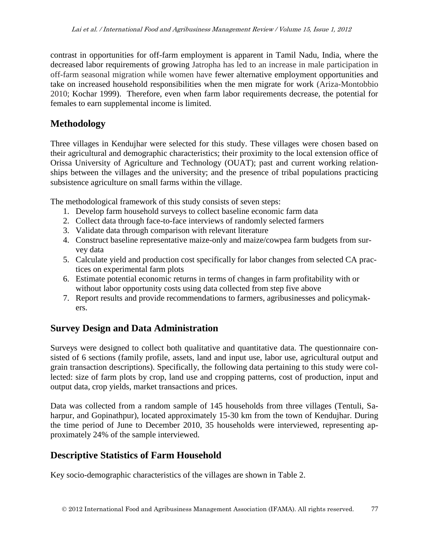contrast in opportunities for off-farm employment is apparent in Tamil Nadu, India, where the decreased labor requirements of growing Jatropha has led to an increase in male participation in off-farm seasonal migration while women have fewer alternative employment opportunities and take on increased household responsibilities when the men migrate for work (Ariza-Montobbio 2010; Kochar 1999). Therefore, even when farm labor requirements decrease, the potential for females to earn supplemental income is limited.

#### **Methodology**

Three villages in Kendujhar were selected for this study. These villages were chosen based on their agricultural and demographic characteristics; their proximity to the local extension office of Orissa University of Agriculture and Technology (OUAT); past and current working relationships between the villages and the university; and the presence of tribal populations practicing subsistence agriculture on small farms within the village.

The methodological framework of this study consists of seven steps:

- 1. Develop farm household surveys to collect baseline economic farm data
- 2. Collect data through face-to-face interviews of randomly selected farmers
- 3. Validate data through comparison with relevant literature
- 4. Construct baseline representative maize-only and maize/cowpea farm budgets from survey data
- 5. Calculate yield and production cost specifically for labor changes from selected CA practices on experimental farm plots
- 6. Estimate potential economic returns in terms of changes in farm profitability with or without labor opportunity costs using data collected from step five above
- 7. Report results and provide recommendations to farmers, agribusinesses and policymakers.

## **Survey Design and Data Administration**

Surveys were designed to collect both qualitative and quantitative data. The questionnaire consisted of 6 sections (family profile, assets, land and input use, labor use, agricultural output and grain transaction descriptions). Specifically, the following data pertaining to this study were collected: size of farm plots by crop, land use and cropping patterns, cost of production, input and output data, crop yields, market transactions and prices.

Data was collected from a random sample of 145 households from three villages (Tentuli, Saharpur, and Gopinathpur), located approximately 15-30 km from the town of Kendujhar. During the time period of June to December 2010, 35 households were interviewed, representing approximately 24% of the sample interviewed.

## **Descriptive Statistics of Farm Household**

Key socio-demographic characteristics of the villages are shown in Table 2.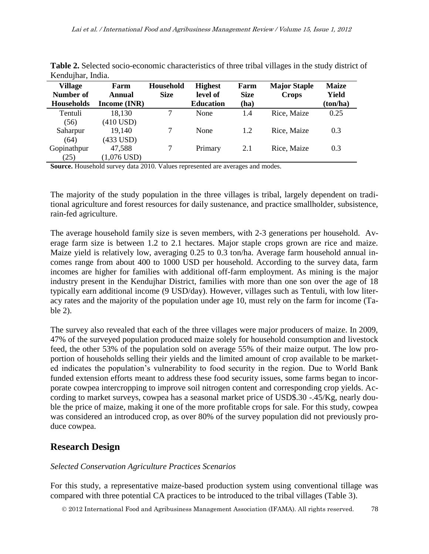| <i>ixenda</i> mara.                              |                                       |                                 |                                                |                             |                                     |                                   |
|--------------------------------------------------|---------------------------------------|---------------------------------|------------------------------------------------|-----------------------------|-------------------------------------|-----------------------------------|
| <b>Village</b><br>Number of<br><b>Households</b> | Farm<br>Annual<br><b>Income (INR)</b> | <b>Household</b><br><b>Size</b> | <b>Highest</b><br>level of<br><b>Education</b> | Farm<br><b>Size</b><br>(ha) | <b>Major Staple</b><br><b>Crops</b> | <b>Maize</b><br>Yield<br>(ton/ha) |
| Tentuli                                          | 18,130                                |                                 | None                                           | 1.4                         | Rice, Maize                         | 0.25                              |
| (56)                                             | $(410$ USD)                           |                                 |                                                |                             |                                     |                                   |
| Saharpur                                         | 19,140                                | 7                               | None                                           | 1.2                         | Rice, Maize                         | 0.3                               |
| (64)                                             | (433 USD)                             |                                 |                                                |                             |                                     |                                   |
| Gopinathpur                                      | 47,588                                |                                 | Primary                                        | 2.1                         | Rice, Maize                         | 0.3                               |
| (25)                                             | $(1,076$ USD)                         |                                 |                                                |                             |                                     |                                   |

**Table 2.** Selected socio-economic characteristics of three tribal villages in the study district of Kendujhar, India.

**Source.** Household survey data 2010. Values represented are averages and modes.

The majority of the study population in the three villages is tribal, largely dependent on traditional agriculture and forest resources for daily sustenance, and practice smallholder, subsistence, rain-fed agriculture.

The average household family size is seven members, with 2-3 generations per household. Average farm size is between 1.2 to 2.1 hectares. Major staple crops grown are rice and maize. Maize yield is relatively low, averaging 0.25 to 0.3 ton/ha. Average farm household annual incomes range from about 400 to 1000 USD per household. According to the survey data, farm incomes are higher for families with additional off-farm employment. As mining is the major industry present in the Kendujhar District, families with more than one son over the age of 18 typically earn additional income (9 USD/day). However, villages such as Tentuli, with low literacy rates and the majority of the population under age 10, must rely on the farm for income (Table 2).

The survey also revealed that each of the three villages were major producers of maize. In 2009, 47% of the surveyed population produced maize solely for household consumption and livestock feed, the other 53% of the population sold on average 55% of their maize output. The low proportion of households selling their yields and the limited amount of crop available to be marketed indicates the population's vulnerability to food security in the region. Due to World Bank funded extension efforts meant to address these food security issues, some farms began to incorporate cowpea intercropping to improve soil nitrogen content and corresponding crop yields. According to market surveys, cowpea has a seasonal market price of USD\$.30 -.45/Kg, nearly double the price of maize, making it one of the more profitable crops for sale. For this study, cowpea was considered an introduced crop, as over 80% of the survey population did not previously produce cowpea.

## **Research Design**

#### *Selected Conservation Agriculture Practices Scenarios*

For this study, a representative maize-based production system using conventional tillage was compared with three potential CA practices to be introduced to the tribal villages (Table 3).

2012 International Food and Agribusiness Management Association (IFAMA). All rights reserved. 78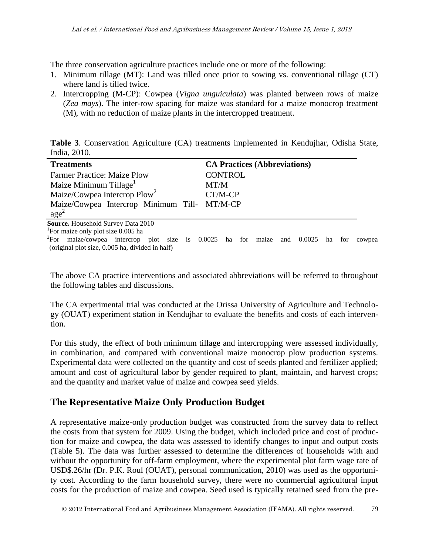The three conservation agriculture practices include one or more of the following:

- 1. Minimum tillage (MT): Land was tilled once prior to sowing vs. conventional tillage (CT) where land is tilled twice.
- 2. Intercropping (M-CP): Cowpea (*Vigna unguiculata*) was planted between rows of maize (*Zea mays*). The inter-row spacing for maize was standard for a maize monocrop treatment (M), with no reduction of maize plants in the intercropped treatment.

**Table 3**. Conservation Agriculture (CA) treatments implemented in Kendujhar, Odisha State, India, 2010.

| <b>Treatments</b>                            | <b>CA Practices (Abbreviations)</b> |
|----------------------------------------------|-------------------------------------|
| <b>Farmer Practice: Maize Plow</b>           | <b>CONTROL</b>                      |
| Maize Minimum Tillage <sup>1</sup>           | MT/M                                |
| Maize/Cowpea Intercrop Plow <sup>2</sup>     | CT/M-CP                             |
| Maize/Cowpea Intercrop Minimum Till- MT/M-CP |                                     |
| $\text{age}^2$                               |                                     |
| Source. Household Survey Data 2010           |                                     |
| For maize only plot size 0.005 ha            |                                     |

<sup>2</sup>For maize/cowpea intercrop plot size is 0.0025 ha for maize and 0.0025 ha for cowpea (original plot size, 0.005 ha, divided in half)

The above CA practice interventions and associated abbreviations will be referred to throughout the following tables and discussions.

The CA experimental trial was conducted at the Orissa University of Agriculture and Technology (OUAT) experiment station in Kendujhar to evaluate the benefits and costs of each intervention.

For this study, the effect of both minimum tillage and intercropping were assessed individually, in combination, and compared with conventional maize monocrop plow production systems. Experimental data were collected on the quantity and cost of seeds planted and fertilizer applied; amount and cost of agricultural labor by gender required to plant, maintain, and harvest crops; and the quantity and market value of maize and cowpea seed yields.

## **The Representative Maize Only Production Budget**

A representative maize-only production budget was constructed from the survey data to reflect the costs from that system for 2009. Using the budget, which included price and cost of production for maize and cowpea, the data was assessed to identify changes to input and output costs (Table 5). The data was further assessed to determine the differences of households with and without the opportunity for off-farm employment, where the experimental plot farm wage rate of USD\$.26/hr (Dr. P.K. Roul (OUAT), personal communication, 2010) was used as the opportunity cost. According to the farm household survey, there were no commercial agricultural input costs for the production of maize and cowpea. Seed used is typically retained seed from the pre-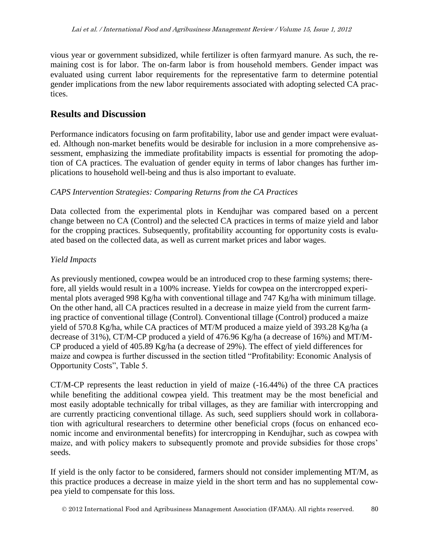vious year or government subsidized, while fertilizer is often farmyard manure. As such, the remaining cost is for labor. The on-farm labor is from household members. Gender impact was evaluated using current labor requirements for the representative farm to determine potential gender implications from the new labor requirements associated with adopting selected CA practices.

#### **Results and Discussion**

Performance indicators focusing on farm profitability, labor use and gender impact were evaluated. Although non-market benefits would be desirable for inclusion in a more comprehensive assessment, emphasizing the immediate profitability impacts is essential for promoting the adoption of CA practices. The evaluation of gender equity in terms of labor changes has further implications to household well-being and thus is also important to evaluate.

#### *CAPS Intervention Strategies: Comparing Returns from the CA Practices*

Data collected from the experimental plots in Kendujhar was compared based on a percent change between no CA (Control) and the selected CA practices in terms of maize yield and labor for the cropping practices. Subsequently, profitability accounting for opportunity costs is evaluated based on the collected data, as well as current market prices and labor wages.

#### *Yield Impacts*

As previously mentioned, cowpea would be an introduced crop to these farming systems; therefore, all yields would result in a 100% increase. Yields for cowpea on the intercropped experimental plots averaged 998 Kg/ha with conventional tillage and 747 Kg/ha with minimum tillage. On the other hand, all CA practices resulted in a decrease in maize yield from the current farming practice of conventional tillage (Control). Conventional tillage (Control) produced a maize yield of 570.8 Kg/ha, while CA practices of MT/M produced a maize yield of 393.28 Kg/ha (a decrease of 31%), CT/M-CP produced a yield of 476.96 Kg/ha (a decrease of 16%) and MT/M-CP produced a yield of 405.89 Kg/ha (a decrease of 29%). The effect of yield differences for maize and cowpea is further discussed in the section titled "Profitability: Economic Analysis of Opportunity Costs", Table 5.

CT/M-CP represents the least reduction in yield of maize (-16.44%) of the three CA practices while benefiting the additional cowpea yield. This treatment may be the most beneficial and most easily adoptable technically for tribal villages, as they are familiar with intercropping and are currently practicing conventional tillage. As such, seed suppliers should work in collaboration with agricultural researchers to determine other beneficial crops (focus on enhanced economic income and environmental benefits) for intercropping in Kendujhar, such as cowpea with maize, and with policy makers to subsequently promote and provide subsidies for those crops' seeds.

If yield is the only factor to be considered, farmers should not consider implementing MT/M, as this practice produces a decrease in maize yield in the short term and has no supplemental cowpea yield to compensate for this loss.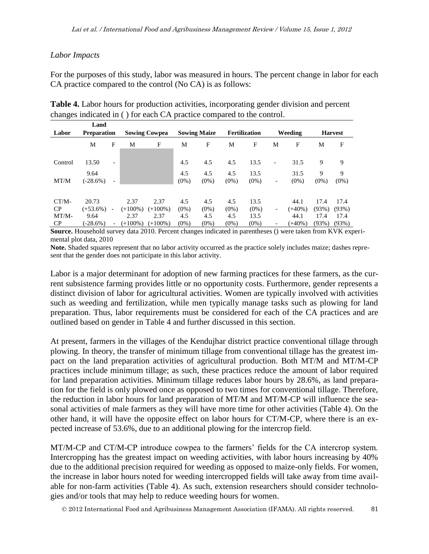#### *Labor Impacts*

For the purposes of this study, labor was measured in hours. The percent change in labor for each CA practice compared to the control (No CA) is as follows:

|         | Land               |                          |            |                      |                |                     |                |                      |                          |                 |              |                |
|---------|--------------------|--------------------------|------------|----------------------|----------------|---------------------|----------------|----------------------|--------------------------|-----------------|--------------|----------------|
| Labor   | <b>Preparation</b> |                          |            | <b>Sowing Cowpea</b> |                | <b>Sowing Maize</b> |                | <b>Fertilization</b> |                          | Weeding         |              | <b>Harvest</b> |
|         | M                  | F                        | M          | F                    | M              | F                   | M              | F                    | M                        | F               | M            | F              |
| Control | 13.50              | $\overline{\phantom{a}}$ |            |                      | 4.5            | 4.5                 | 4.5            | 13.5                 | $\overline{\phantom{a}}$ | 31.5            | 9            | 9              |
| MT/M    | 9.64<br>$(-28.6%)$ |                          |            |                      | 4.5<br>$(0\%)$ | 4.5<br>$(0\%)$      | 4.5<br>$(0\%)$ | 13.5<br>$(0\%)$      | -                        | 31.5<br>$(0\%)$ | 9<br>$(0\%)$ | 9<br>$(0\%)$   |
|         |                    |                          |            |                      |                |                     |                |                      |                          |                 |              |                |
| $CT/M-$ | 20.73              |                          | 2.37       | 2.37                 | 4.5            | 4.5                 | 4.5            | 13.5                 |                          | 44.1            | 17.4         | 17.4           |
| CP      | $(+53.6\%)$        | $\overline{\phantom{0}}$ | $(+100\%)$ | $(+100\%)$           | $(0\%)$        | $(0\%)$             | $(0\%)$        | $(0\%)$              |                          | $(+40\%)$       | (93%)        | (93%)          |
| $MT/M-$ | 9.64               |                          | 2.37       | 2.37                 | 4.5            | 4.5                 | 4.5            | 13.5                 |                          | 44.1            | 17.4         | 17.4           |
| CP      | $(-28.6%)$         | $\overline{\phantom{a}}$ | $(+100\%)$ | $(+100\%)$           | $(0\%)$        | $(0\%)$             | $(0\%)$        | $(0\%)$              |                          | $(+40\%)$       | (93%)        | (93%)          |

**Table 4.** Labor hours for production activities, incorporating gender division and percent changes indicated in ( ) for each CA practice compared to the control.

**Source.** Household survey data 2010. Percent changes indicated in parentheses () were taken from KVK experimental plot data, 2010

**Note.** Shaded squares represent that no labor activity occurred as the practice solely includes maize; dashes represent that the gender does not participate in this labor activity.

Labor is a major determinant for adoption of new farming practices for these farmers, as the current subsistence farming provides little or no opportunity costs. Furthermore, gender represents a distinct division of labor for agricultural activities. Women are typically involved with activities such as weeding and fertilization, while men typically manage tasks such as plowing for land preparation. Thus, labor requirements must be considered for each of the CA practices and are outlined based on gender in Table 4 and further discussed in this section.

At present, farmers in the villages of the Kendujhar district practice conventional tillage through plowing. In theory, the transfer of minimum tillage from conventional tillage has the greatest impact on the land preparation activities of agricultural production. Both MT/M and MT/M-CP practices include minimum tillage; as such, these practices reduce the amount of labor required for land preparation activities. Minimum tillage reduces labor hours by 28.6%, as land preparation for the field is only plowed once as opposed to two times for conventional tillage. Therefore, the reduction in labor hours for land preparation of MT/M and MT/M-CP will influence the seasonal activities of male farmers as they will have more time for other activities (Table 4). On the other hand, it will have the opposite effect on labor hours for CT/M-CP, where there is an expected increase of 53.6%, due to an additional plowing for the intercrop field.

MT/M-CP and CT/M-CP introduce cowpea to the farmers' fields for the CA intercrop system. Intercropping has the greatest impact on weeding activities, with labor hours increasing by 40% due to the additional precision required for weeding as opposed to maize-only fields. For women, the increase in labor hours noted for weeding intercropped fields will take away from time available for non-farm activities (Table 4). As such, extension researchers should consider technologies and/or tools that may help to reduce weeding hours for women.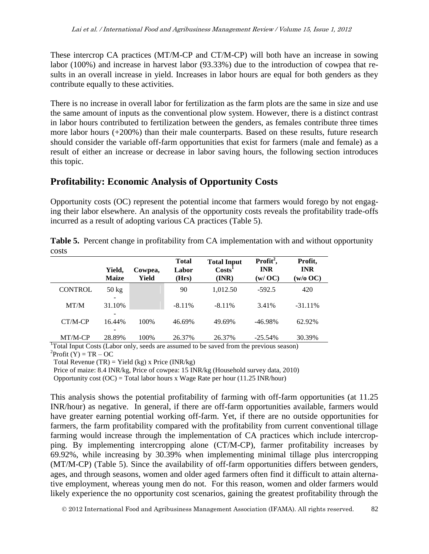These intercrop CA practices (MT/M-CP and CT/M-CP) will both have an increase in sowing labor (100%) and increase in harvest labor (93.33%) due to the introduction of cowpea that results in an overall increase in yield. Increases in labor hours are equal for both genders as they contribute equally to these activities.

There is no increase in overall labor for fertilization as the farm plots are the same in size and use the same amount of inputs as the conventional plow system. However, there is a distinct contrast in labor hours contributed to fertilization between the genders, as females contribute three times more labor hours (+200%) than their male counterparts. Based on these results, future research should consider the variable off-farm opportunities that exist for farmers (male and female) as a result of either an increase or decrease in labor saving hours, the following section introduces this topic.

## **Profitability: Economic Analysis of Opportunity Costs**

Opportunity costs (OC) represent the potential income that farmers would forego by not engaging their labor elsewhere. An analysis of the opportunity costs reveals the profitability trade-offs incurred as a result of adopting various CA practices (Table 5).

|       | <b>Table 5.</b> Percent change in profitability from CA implementation with and without opportunity |  |
|-------|-----------------------------------------------------------------------------------------------------|--|
| costs |                                                                                                     |  |

|                | Yield,<br><b>Maize</b>                      | Cowpea,<br>Yield | <b>Total</b><br>Labor<br>(Hrs) | <b>Total Input</b><br>$\text{Costs}^1$<br>(INR) | Profit <sup>2</sup> ,<br><b>INR</b><br>(w/OC) | Profit,<br><b>INR</b><br>$(w/o \ OC)$ |
|----------------|---------------------------------------------|------------------|--------------------------------|-------------------------------------------------|-----------------------------------------------|---------------------------------------|
| <b>CONTROL</b> | $50 \text{ kg}$<br>$\overline{\phantom{a}}$ |                  | 90                             | 1,012.50                                        | $-592.5$                                      | 420                                   |
| MT/M           | 31.10%<br>-                                 |                  | $-8.11\%$                      | $-8.11\%$                                       | 3.41%                                         | $-31.11\%$                            |
| $CT/M-CP$      | 16.44%                                      | 100%             | 46.69%                         | 49.69%                                          | $-46.98\%$                                    | 62.92%                                |
| MT/M-CP        | 28.89%                                      | 100%             | 26.37%                         | 26.37%                                          | $-25.54\%$                                    | 30.39%                                |

<sup>1</sup>Total Input Costs (Labor only, seeds are assumed to be saved from the previous season)  ${}^{2}$ Profit (Y) = TR – OC

Total Revenue (TR) = Yield (kg) x Price (INR/kg)

Price of maize: 8.4 INR/kg, Price of cowpea: 15 INR/kg (Household survey data, 2010)

Opportunity cost  $(OC)$  = Total labor hours x Wage Rate per hour (11.25 INR/hour)

This analysis shows the potential profitability of farming with off-farm opportunities (at 11.25 INR/hour) as negative. In general, if there are off-farm opportunities available, farmers would have greater earning potential working off-farm. Yet, if there are no outside opportunities for farmers, the farm profitability compared with the profitability from current conventional tillage farming would increase through the implementation of CA practices which include intercropping. By implementing intercropping alone (CT/M-CP), farmer profitability increases by 69.92%, while increasing by 30.39% when implementing minimal tillage plus intercropping (MT/M-CP) (Table 5). Since the availability of off-farm opportunities differs between genders, ages, and through seasons, women and older aged farmers often find it difficult to attain alternative employment, whereas young men do not. For this reason, women and older farmers would likely experience the no opportunity cost scenarios, gaining the greatest profitability through the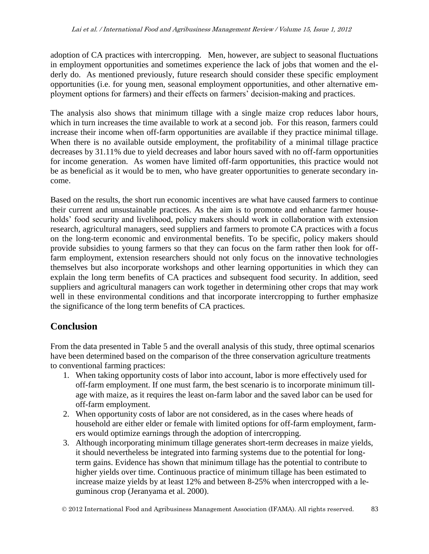adoption of CA practices with intercropping. Men, however, are subject to seasonal fluctuations in employment opportunities and sometimes experience the lack of jobs that women and the elderly do. As mentioned previously, future research should consider these specific employment opportunities (i.e. for young men, seasonal employment opportunities, and other alternative employment options for farmers) and their effects on farmers' decision-making and practices.

The analysis also shows that minimum tillage with a single maize crop reduces labor hours, which in turn increases the time available to work at a second job. For this reason, farmers could increase their income when off-farm opportunities are available if they practice minimal tillage. When there is no available outside employment, the profitability of a minimal tillage practice decreases by 31.11% due to yield decreases and labor hours saved with no off-farm opportunities for income generation. As women have limited off-farm opportunities, this practice would not be as beneficial as it would be to men, who have greater opportunities to generate secondary income.

Based on the results, the short run economic incentives are what have caused farmers to continue their current and unsustainable practices. As the aim is to promote and enhance farmer households' food security and livelihood, policy makers should work in collaboration with extension research, agricultural managers, seed suppliers and farmers to promote CA practices with a focus on the long-term economic and environmental benefits. To be specific, policy makers should provide subsidies to young farmers so that they can focus on the farm rather then look for offfarm employment, extension researchers should not only focus on the innovative technologies themselves but also incorporate workshops and other learning opportunities in which they can explain the long term benefits of CA practices and subsequent food security. In addition, seed suppliers and agricultural managers can work together in determining other crops that may work well in these environmental conditions and that incorporate intercropping to further emphasize the significance of the long term benefits of CA practices.

## **Conclusion**

From the data presented in Table 5 and the overall analysis of this study, three optimal scenarios have been determined based on the comparison of the three conservation agriculture treatments to conventional farming practices:

- 1. When taking opportunity costs of labor into account, labor is more effectively used for off-farm employment. If one must farm, the best scenario is to incorporate minimum tillage with maize, as it requires the least on-farm labor and the saved labor can be used for off-farm employment.
- 2. When opportunity costs of labor are not considered, as in the cases where heads of household are either elder or female with limited options for off-farm employment, farmers would optimize earnings through the adoption of intercropping.
- 3. Although incorporating minimum tillage generates short-term decreases in maize yields, it should nevertheless be integrated into farming systems due to the potential for longterm gains. Evidence has shown that minimum tillage has the potential to contribute to higher yields over time. Continuous practice of minimum tillage has been estimated to increase maize yields by at least 12% and between 8-25% when intercropped with a leguminous crop (Jeranyama et al. 2000).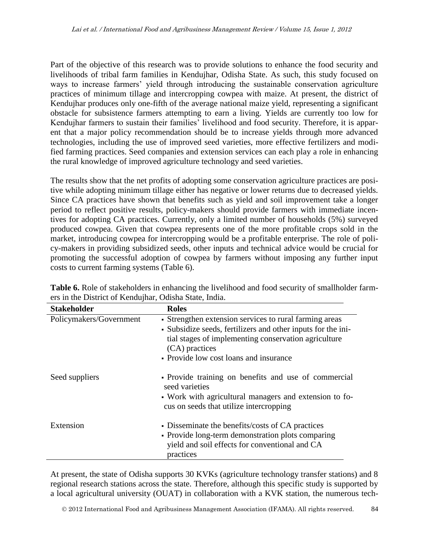Part of the objective of this research was to provide solutions to enhance the food security and livelihoods of tribal farm families in Kendujhar, Odisha State. As such, this study focused on ways to increase farmers' yield through introducing the sustainable conservation agriculture practices of minimum tillage and intercropping cowpea with maize. At present, the district of Kendujhar produces only one-fifth of the average national maize yield, representing a significant obstacle for subsistence farmers attempting to earn a living. Yields are currently too low for Kendujhar farmers to sustain their families' livelihood and food security. Therefore, it is apparent that a major policy recommendation should be to increase yields through more advanced technologies, including the use of improved seed varieties, more effective fertilizers and modified farming practices. Seed companies and extension services can each play a role in enhancing the rural knowledge of improved agriculture technology and seed varieties.

The results show that the net profits of adopting some conservation agriculture practices are positive while adopting minimum tillage either has negative or lower returns due to decreased yields. Since CA practices have shown that benefits such as yield and soil improvement take a longer period to reflect positive results, policy-makers should provide farmers with immediate incentives for adopting CA practices. Currently, only a limited number of households (5%) surveyed produced cowpea. Given that cowpea represents one of the more profitable crops sold in the market, introducing cowpea for intercropping would be a profitable enterprise. The role of policy-makers in providing subsidized seeds, other inputs and technical advice would be crucial for promoting the successful adoption of cowpea by farmers without imposing any further input costs to current farming systems (Table 6).

| <b>Stakeholder</b>      | <b>Roles</b>                                                                                                                                                                                                                               |
|-------------------------|--------------------------------------------------------------------------------------------------------------------------------------------------------------------------------------------------------------------------------------------|
| Policymakers/Government | • Strengthen extension services to rural farming areas<br>• Subsidize seeds, fertilizers and other inputs for the ini-<br>tial stages of implementing conservation agriculture<br>(CA) practices<br>• Provide low cost loans and insurance |
| Seed suppliers          | • Provide training on benefits and use of commercial<br>seed varieties<br>• Work with agricultural managers and extension to fo-<br>cus on seeds that utilize intercropping                                                                |
| Extension               | • Disseminate the benefits/costs of CA practices<br>• Provide long-term demonstration plots comparing<br>yield and soil effects for conventional and CA<br>practices                                                                       |

**Table 6.** Role of stakeholders in enhancing the livelihood and food security of smallholder farmers in the District of Kendujhar, Odisha State, India.

At present, the state of Odisha supports 30 KVKs (agriculture technology transfer stations) and 8 regional research stations across the state. Therefore, although this specific study is supported by a local agricultural university (OUAT) in collaboration with a KVK station, the numerous tech-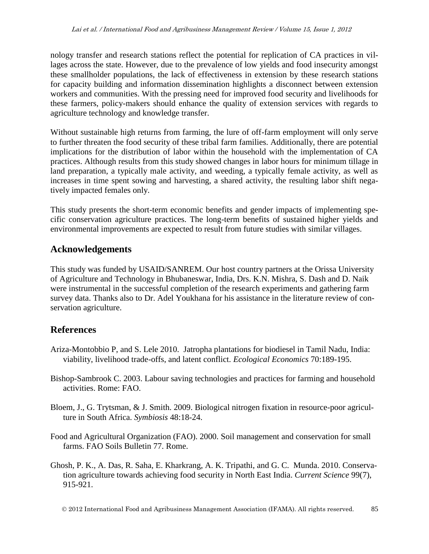nology transfer and research stations reflect the potential for replication of CA practices in villages across the state. However, due to the prevalence of low yields and food insecurity amongst these smallholder populations, the lack of effectiveness in extension by these research stations for capacity building and information dissemination highlights a disconnect between extension workers and communities. With the pressing need for improved food security and livelihoods for these farmers, policy-makers should enhance the quality of extension services with regards to agriculture technology and knowledge transfer.

Without sustainable high returns from farming, the lure of off-farm employment will only serve to further threaten the food security of these tribal farm families. Additionally, there are potential implications for the distribution of labor within the household with the implementation of CA practices. Although results from this study showed changes in labor hours for minimum tillage in land preparation, a typically male activity, and weeding, a typically female activity, as well as increases in time spent sowing and harvesting, a shared activity, the resulting labor shift negatively impacted females only.

This study presents the short-term economic benefits and gender impacts of implementing specific conservation agriculture practices. The long-term benefits of sustained higher yields and environmental improvements are expected to result from future studies with similar villages.

## **Acknowledgements**

This study was funded by USAID/SANREM. Our host country partners at the Orissa University of Agriculture and Technology in Bhubaneswar, India, Drs. K.N. Mishra, S. Dash and D. Naik were instrumental in the successful completion of the research experiments and gathering farm survey data. Thanks also to Dr. Adel Youkhana for his assistance in the literature review of conservation agriculture.

## **References**

- Ariza-Montobbio P, and S. Lele 2010. Jatropha plantations for biodiesel in Tamil Nadu, India: viability, livelihood trade-offs, and latent conflict. *Ecological Economics* 70:189-195.
- Bishop-Sambrook C. 2003. Labour saving technologies and practices for farming and household activities. Rome: FAO.
- Bloem, J., G. Trytsman, & J. Smith. 2009. Biological nitrogen fixation in resource-poor agriculture in South Africa. *Symbiosis* 48:18-24.
- Food and Agricultural Organization (FAO). 2000. Soil management and conservation for small farms. FAO Soils Bulletin 77. Rome.
- Ghosh, P. K., A. Das, R. Saha, E. Kharkrang, A. K. Tripathi, and G. C. Munda. 2010. Conservation agriculture towards achieving food security in North East India. *Current Science* 99(7), 915-921.